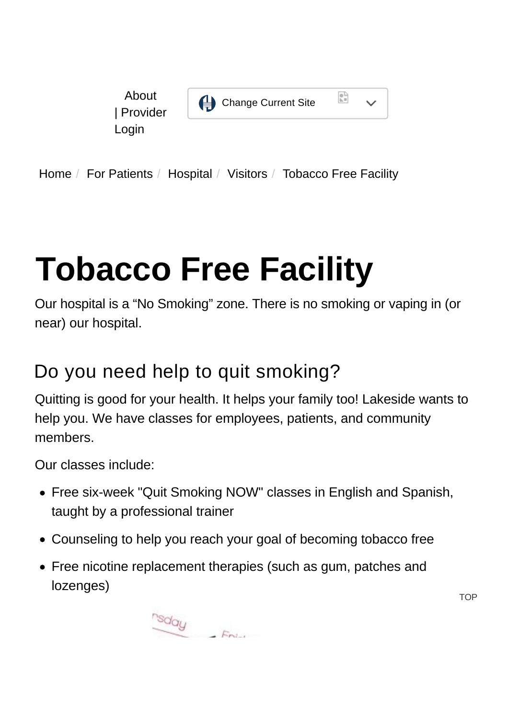

[Home](https://www.hcdpbc.org/) / [For Patients](https://www.hcdpbc.org/for-patients) / [Hospital](https://www.hcdpbc.org/For-Patients/hospital) / [Visitors](https://www.hcdpbc.org/for-patients/hospital/visitors) / Tobacco Free Facility

# **Tobacco Free Facility**

Our hospital is a "No Smoking" zone. There is no smoking or vaping in (or near) our hospital.

### Do you need help to quit smoking?

Quitting is good for your health. It helps your family too! Lakeside wants to help you. We have classes for employees, patients, and community members.

Our classes include:

- Free six-week "Quit Smoking NOW" classes in English and Spanish, taught by a professional trainer
- Counseling to help you reach your goal of becoming tobacco free
- Free nicotine replacement therapies (such as gum, patches and lozenges)

 $\frac{r_{\text{S}}}{r}$  Friday

**TOP**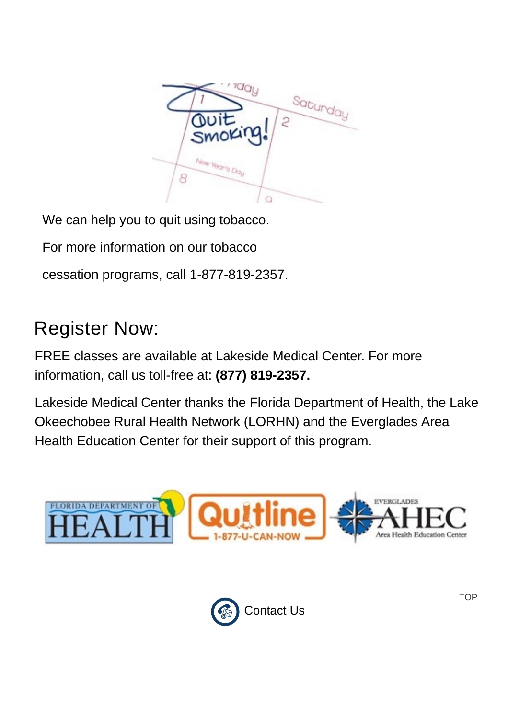

We can help you to quit using tobacco.

For more information on our tobacco

cessation programs, call 1-877-819-2357.

# Register Now:

FREE classes are available at Lakeside Medical Center. For more information, call us toll-free at: **(877) 819-2357.**

Lakeside Medical Center thanks the Florida Department of Health, the Lake Okeechobee Rural Health Network (LORHN) and the Everglades Area Health Education Center for their support of this program.



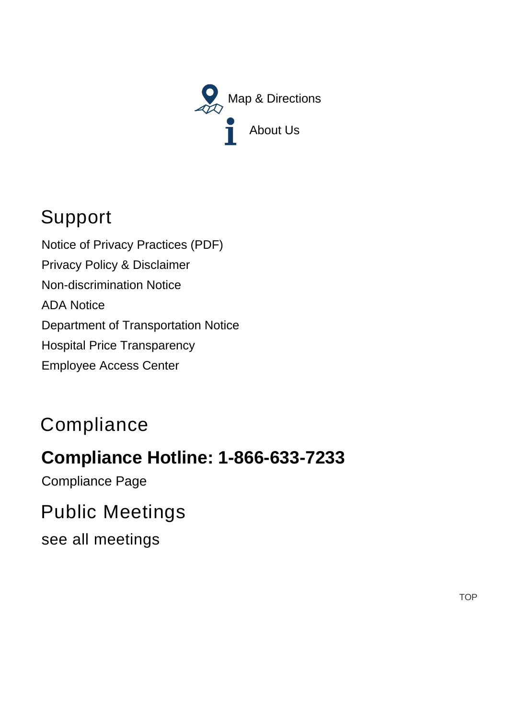

## Support

[Notice of Privacy Practices \(PDF\)](https://www.hcdpbc.org/ArticleDocuments/224/Notice%20of%20Privacy%20Practices.pdf.aspx) [Privacy Policy & Disclaimer](https://www.hcdpbc.org/resources/compliance#privacy-policy-and-disclaimer) [Non-discrimination Notice](https://www.hcdpbc.org/resources/compliance#non-discrimination-notice) [ADA Notice](https://www.hcdpbc.org/resources/compliance#ada-notice) [Department of Transportation Notice](https://www.hcdpbc.org/resources/compliance#faa) [Hospital Price Transparency](https://www.hcdpbc.org/for-patients/hospital/billing-financial-assistance) [Employee Access Center](https://eac.hcdpbc.org/EAC51/Login.aspx)

## **Compliance**

#### **Compliance Hotline: 1-866-633-7233**

[Compliance Page](https://www.hcdpbc.org/resources/compliance)

#### Public Meetings

[see all meetings](https://www.hcdpbc.org/resources/public-meetings)